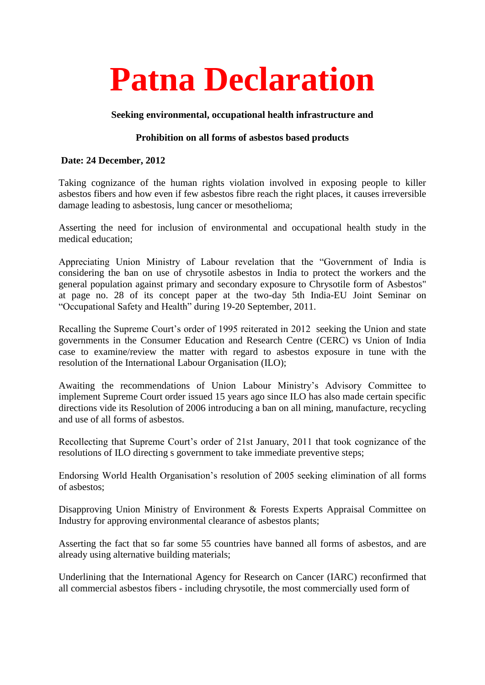# **Patna Declaration**

## **Seeking environmental, occupational health infrastructure and**

## **Prohibition on all forms of asbestos based products**

#### **Date: 24 December, 2012**

Taking cognizance of the human rights violation involved in exposing people to killer asbestos fibers and how even if few asbestos fibre reach the right places, it causes irreversible damage leading to asbestosis, lung cancer or mesothelioma;

Asserting the need for inclusion of environmental and occupational health study in the medical education;

Appreciating Union Ministry of Labour revelation that the "Government of India is considering the ban on use of chrysotile asbestos in India to protect the workers and the general population against primary and secondary exposure to Chrysotile form of Asbestos" at page no. 28 of its concept paper at the two-day 5th India-EU Joint Seminar on "Occupational Safety and Health" during 19-20 September, 2011.

Recalling the Supreme Court's order of 1995 reiterated in 2012 seeking the Union and state governments in the Consumer Education and Research Centre (CERC) vs Union of India case to examine/review the matter with regard to asbestos exposure in tune with the resolution of the International Labour Organisation (ILO);

Awaiting the recommendations of Union Labour Ministry's Advisory Committee to implement Supreme Court order issued 15 years ago since ILO has also made certain specific directions vide its Resolution of 2006 introducing a ban on all mining, manufacture, recycling and use of all forms of asbestos.

Recollecting that Supreme Court's order of 21st January, 2011 that took cognizance of the resolutions of ILO directing s government to take immediate preventive steps;

Endorsing World Health Organisation's resolution of 2005 seeking elimination of all forms of asbestos;

Disapproving Union Ministry of Environment & Forests Experts Appraisal Committee on Industry for approving environmental clearance of asbestos plants;

Asserting the fact that so far some 55 countries have banned all forms of asbestos, and are already using alternative building materials;

Underlining that the International Agency for Research on Cancer (IARC) reconfirmed that all commercial asbestos fibers - including chrysotile, the most commercially used form of